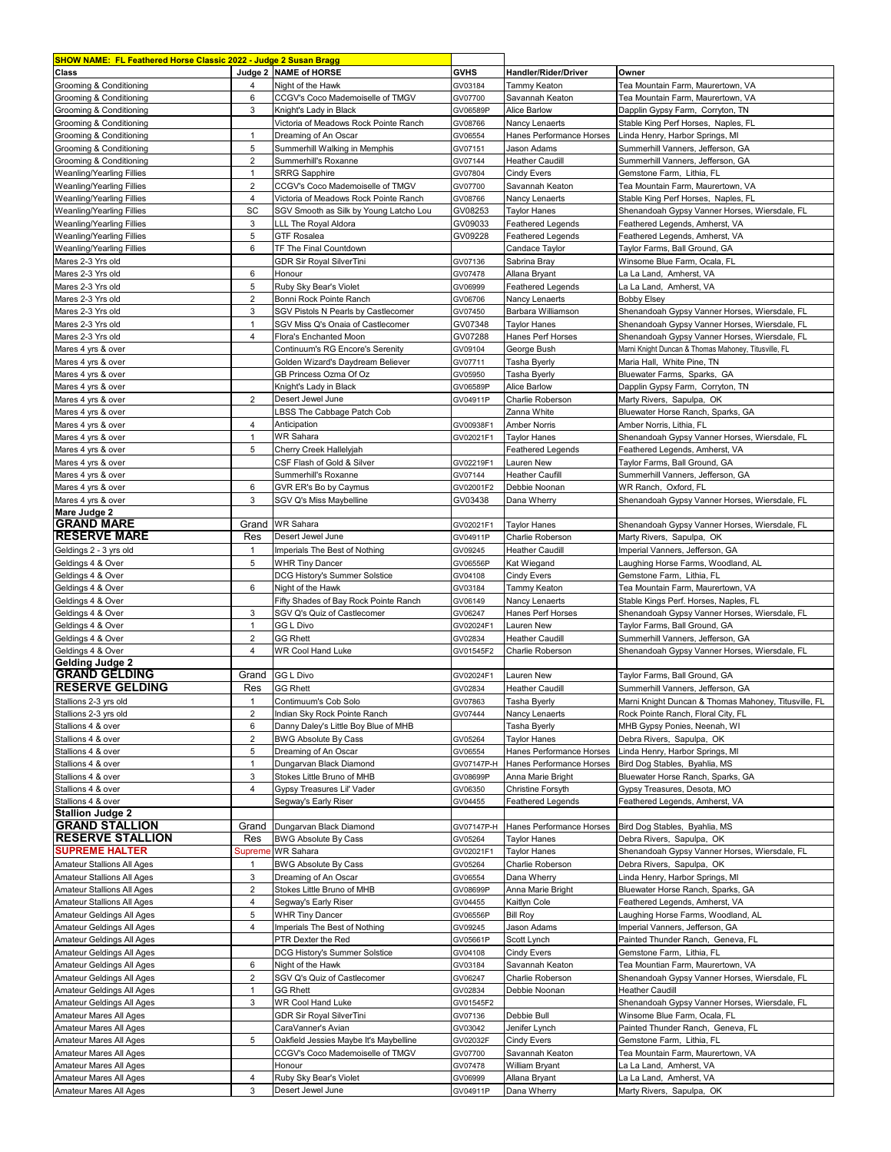| SHOW NAME: FL Feathered Horse Classic 2022 - Judge 2 Susan Bragg |                |                                        |             |                          |                                                      |
|------------------------------------------------------------------|----------------|----------------------------------------|-------------|--------------------------|------------------------------------------------------|
| Class                                                            |                | Judge 2 NAME of HORSE                  | <b>GVHS</b> | Handler/Rider/Driver     | Owner                                                |
| Grooming & Conditioning                                          | 4              | Night of the Hawk                      | GV03184     | Tammy Keaton             | Tea Mountain Farm, Maurertown, VA                    |
| Grooming & Conditioning                                          | 6              | CCGV's Coco Mademoiselle of TMGV       | GV07700     | Savannah Keaton          | Tea Mountain Farm, Maurertown, VA                    |
| Grooming & Conditioning                                          | 3              | Knight's Lady in Black                 | GV06589P    | <b>Alice Barlow</b>      | Dapplin Gypsy Farm, Corryton, TN                     |
|                                                                  |                |                                        |             |                          |                                                      |
| Grooming & Conditioning                                          |                | Victoria of Meadows Rock Pointe Ranch  | GV08766     | Nancy Lenaerts           | Stable King Perf Horses, Naples, FL                  |
| Grooming & Conditioning                                          | $\mathbf{1}$   | Dreaming of An Oscar                   | GV06554     | Hanes Performance Horses | Linda Henry, Harbor Springs, MI                      |
| Grooming & Conditioning                                          | 5              | Summerhill Walking in Memphis          | GV07151     | Jason Adams              | Summerhill Vanners, Jefferson, GA                    |
| Grooming & Conditioning                                          | 2              | Summerhill's Roxanne                   | GV07144     | <b>Heather Caudill</b>   | Summerhill Vanners, Jefferson, GA                    |
| Weanling/Yearling Fillies                                        | $\mathbf{1}$   | <b>SRRG Sapphire</b>                   | GV07804     | <b>Cindy Evers</b>       | Gemstone Farm, Lithia, FL                            |
| Weanling/Yearling Fillies                                        | $\overline{2}$ | CCGV's Coco Mademoiselle of TMGV       | GV07700     | Savannah Keaton          | Tea Mountain Farm, Maurertown, VA                    |
| Weanling/Yearling Fillies                                        | $\overline{4}$ | Victoria of Meadows Rock Pointe Ranch  | GV08766     | Nancy Lenaerts           | Stable King Perf Horses, Naples, FL                  |
| Weanling/Yearling Fillies                                        | SC             | SGV Smooth as Silk by Young Latcho Lou | GV08253     | <b>Taylor Hanes</b>      | Shenandoah Gypsy Vanner Horses, Wiersdale, FL        |
| Weanling/Yearling Fillies                                        | 3              | LLL The Royal Aldora                   | GV09033     | <b>Feathered Legends</b> | Feathered Legends, Amherst, VA                       |
|                                                                  |                |                                        |             |                          |                                                      |
| Weanling/Yearling Fillies                                        | 5              | <b>GTF Rosalea</b>                     | GV09228     | Feathered Legends        | Feathered Legends, Amherst, VA                       |
| <b>Weanling/Yearling Fillies</b>                                 | 6              | TF The Final Countdown                 |             | Candace Taylor           | Taylor Farms, Ball Ground, GA                        |
| Mares 2-3 Yrs old                                                |                | <b>GDR Sir Royal SilverTini</b>        | GV07136     | Sabrina Bray             | Winsome Blue Farm, Ocala, FL                         |
| Mares 2-3 Yrs old                                                | 6              | Honour                                 | GV07478     | Allana Bryant            | La La Land, Amherst, VA                              |
| Mares 2-3 Yrs old                                                | 5              | Ruby Sky Bear's Violet                 | GV06999     | <b>Feathered Legends</b> | La La Land, Amherst, VA                              |
| Mares 2-3 Yrs old                                                | 2              | Bonni Rock Pointe Ranch                | GV06706     | Nancy Lenaerts           | <b>Bobby Elsey</b>                                   |
| Mares 2-3 Yrs old                                                | 3              | SGV Pistols N Pearls by Castlecomer    | GV07450     | Barbara Williamson       | Shenandoah Gypsy Vanner Horses, Wiersdale, FL        |
| Mares 2-3 Yrs old                                                | $\mathbf{1}$   | SGV Miss Q's Onaia of Castlecomer      | GV07348     | <b>Taylor Hanes</b>      | Shenandoah Gypsy Vanner Horses, Wiersdale, FL        |
|                                                                  | $\overline{4}$ |                                        |             |                          |                                                      |
| Mares 2-3 Yrs old                                                |                | Flora's Enchanted Moon                 | GV07288     | Hanes Perf Horses        | Shenandoah Gypsy Vanner Horses, Wiersdale, FL        |
| Mares 4 yrs & over                                               |                | Continuum's RG Encore's Serenity       | GV09104     | George Bush              | Marni Knight Duncan & Thomas Mahoney, Titusville, FL |
| Mares 4 yrs & over                                               |                | Golden Wizard's Daydream Believer      | GV07711     | Tasha Byerly             | Maria Hall, White Pine, TN                           |
| Mares 4 yrs & over                                               |                | GB Princess Ozma Of Oz                 | GV05950     | Tasha Byerly             | Bluewater Farms, Sparks, GA                          |
| Mares 4 yrs & over                                               |                | Knight's Lady in Black                 | GV06589P    | Alice Barlow             | Dapplin Gypsy Farm, Corryton, TN                     |
| Mares 4 yrs & over                                               | $\overline{2}$ | Desert Jewel June                      | GV04911P    | Charlie Roberson         | Marty Rivers, Sapulpa, OK                            |
| Mares 4 yrs & over                                               |                | LBSS The Cabbage Patch Cob             |             | Zanna White              | Bluewater Horse Ranch, Sparks, GA                    |
|                                                                  | $\overline{4}$ | Anticipation                           |             | <b>Amber Norris</b>      | Amber Norris, Lithia, FL                             |
| Mares 4 yrs & over                                               | $\mathbf{1}$   | WR Sahara                              | GV00938F1   |                          |                                                      |
| Mares 4 yrs & over                                               |                |                                        | GV02021F1   | <b>Taylor Hanes</b>      | Shenandoah Gypsy Vanner Horses, Wiersdale, FL        |
| Mares 4 yrs & over                                               | 5              | Cherry Creek Hallelyjah                |             | <b>Feathered Legends</b> | Feathered Legends, Amherst, VA                       |
| Mares 4 yrs & over                                               |                | CSF Flash of Gold & Silver             | GV02219F1   | Lauren New               | Taylor Farms, Ball Ground, GA                        |
| Mares 4 yrs & over                                               |                | Summerhill's Roxanne                   | GV07144     | <b>Heather Caufill</b>   | Summerhill Vanners, Jefferson, GA                    |
| Mares 4 yrs & over                                               | 6              | GVR ER's Bo by Caymus                  | GV02001F2   | Debbie Noonan            | WR Ranch, Oxford, FL                                 |
| Mares 4 yrs & over                                               | 3              | SGV Q's Miss Maybelline                | GV03438     | Dana Wherry              | Shenandoah Gypsy Vanner Horses, Wiersdale, FL        |
| Mare Judge 2                                                     |                |                                        |             |                          |                                                      |
| <b>GRAND MARE</b>                                                | Grand          | <b>WR Sahara</b>                       | GV02021F1   | Taylor Hanes             | Shenandoah Gypsy Vanner Horses, Wiersdale, FL        |
| <b>RESERVE MARE</b>                                              | Res            | Desert Jewel June                      | GV04911P    | Charlie Roberson         | Marty Rivers, Sapulpa, OK                            |
|                                                                  |                |                                        |             |                          |                                                      |
| Geldings 2 - 3 yrs old                                           | $\mathbf{1}$   | Imperials The Best of Nothing          | GV09245     | <b>Heather Caudill</b>   | Imperial Vanners, Jefferson, GA                      |
| Geldings 4 & Over                                                | 5              | <b>WHR Tiny Dancer</b>                 | GV06556P    | Kat Wiegand              | Laughing Horse Farms, Woodland, AL                   |
| Geldings 4 & Over                                                |                | DCG History's Summer Solstice          | GV04108     | <b>Cindy Evers</b>       | Gemstone Farm, Lithia, FL                            |
| Geldings 4 & Over                                                | 6              | Night of the Hawk                      | GV03184     | Tammy Keaton             | Tea Mountain Farm, Maurertown, VA                    |
| Geldings 4 & Over                                                |                | Fifty Shades of Bay Rock Pointe Ranch  | GV06149     | Nancy Lenaerts           | Stable Kings Perf. Horses, Naples, FL                |
| Geldings 4 & Over                                                | 3              | SGV Q's Quiz of Castlecomer            | GV06247     | Hanes Perf Horses        | Shenandoah Gypsy Vanner Horses, Wiersdale, FL        |
| Geldings 4 & Over                                                | $\mathbf{1}$   | GG L Divo                              | GV02024F1   | Lauren New               | Tavlor Farms, Ball Ground, GA                        |
|                                                                  | $\overline{2}$ | <b>GG Rhett</b>                        |             | Heather Caudill          | Summerhill Vanners, Jefferson, GA                    |
| Geldings 4 & Over                                                |                |                                        | GV02834     |                          |                                                      |
| Geldings 4 & Over                                                | $\overline{4}$ | <b>WR Cool Hand Luke</b>               | GV01545F2   | Charlie Roberson         | Shenandoah Gypsy Vanner Horses, Wiersdale, FL        |
| <b>Gelding Judge 2</b>                                           |                |                                        |             |                          |                                                      |
| <b>GRAND GELDING</b>                                             | Grand          | <b>GG L Divo</b>                       | GV02024F1   | Lauren New               | Taylor Farms, Ball Ground, GA                        |
| <b>RESERVE GELDING</b>                                           | Res            | <b>GG Rhett</b>                        | GV02834     | <b>Heather Caudill</b>   | Summerhill Vanners, Jefferson, GA                    |
| Stallions 2-3 yrs old                                            | $\mathbf{1}$   | Contimuum's Cob Solo                   | GV07863     | Tasha Byerly             | Marni Knight Duncan & Thomas Mahoney, Titusville, FL |
| Stallions 2-3 yrs old                                            | $\overline{2}$ | Indian Sky Rock Pointe Ranch           | GV07444     | Nancy Lenaerts           | Rock Pointe Ranch, Floral City, FL                   |
| Stallions 4 & over                                               | 6              | Danny Daley's Little Boy Blue of MHB   |             | Tasha Byerly             | MHB Gypsy Ponies, Neenah, WI                         |
| Stallions 4 & over                                               | $\overline{c}$ | <b>BWG Absolute By Cass</b>            | GV05264     | <b>Taylor Hanes</b>      | Debra Rivers, Sapulpa, OK                            |
|                                                                  |                |                                        |             |                          |                                                      |
| Stallions 4 & over                                               | 5              | Dreaming of An Oscar                   | GV06554     | Hanes Performance Horses | Linda Henry, Harbor Springs, MI                      |
| Stallions 4 & over                                               | $\mathbf{1}$   | Dungarvan Black Diamond                | GV07147P-H  | Hanes Performance Horses | Bird Dog Stables, Byahlia, MS                        |
| Stallions 4 & over                                               | 3              | Stokes Little Bruno of MHB             | GV08699P    | Anna Marie Bright        | Bluewater Horse Ranch, Sparks, GA                    |
| Stallions 4 & over                                               | $\overline{4}$ | Gypsy Treasures Lil' Vader             | GV06350     | Christine Forsyth        | Gypsy Treasures, Desota, MO                          |
| Stallions 4 & over                                               |                | Segway's Early Riser                   | GV04455     | <b>Feathered Legends</b> | Feathered Legends, Amherst, VA                       |
| <b>Stallion Judge 2</b>                                          |                |                                        |             |                          |                                                      |
| <b>GRAND STALLION</b>                                            | Grand          | Dungarvan Black Diamond                | GV07147P-H  | Hanes Performance Horses | Bird Dog Stables, Byahlia, MS                        |
| <b>RESERVE STALLION</b>                                          | Res            | <b>BWG Absolute By Cass</b>            | GV05264     | <b>Taylor Hanes</b>      | Debra Rivers, Sapulpa, OK                            |
| <b>SUPREME HALTER</b>                                            | Supreme        | WR Sahara                              | GV02021F1   | <b>Taylor Hanes</b>      | Shenandoah Gypsy Vanner Horses, Wiersdale, FL        |
|                                                                  |                |                                        |             |                          |                                                      |
| Amateur Stallions All Ages                                       | $\mathbf{1}$   | <b>BWG Absolute By Cass</b>            | GV05264     | Charlie Roberson         | Debra Rivers, Sapulpa, OK                            |
| Amateur Stallions All Ages                                       | 3              | Dreaming of An Oscar                   | GV06554     | Dana Wherry              | Linda Henry, Harbor Springs, MI                      |
| Amateur Stallions All Ages                                       | $\overline{2}$ | Stokes Little Bruno of MHB             | GV08699P    | Anna Marie Bright        | Bluewater Horse Ranch, Sparks, GA                    |
| Amateur Stallions All Ages                                       | 4              | Segway's Early Riser                   | GV04455     | Kaitlyn Cole             | Feathered Legends, Amherst, VA                       |
| Amateur Geldings All Ages                                        | 5              | <b>WHR Tiny Dancer</b>                 | GV06556P    | <b>Bill Roy</b>          | Laughing Horse Farms, Woodland, AL                   |
| Amateur Geldings All Ages                                        | 4              | Imperials The Best of Nothing          | GV09245     | Jason Adams              | Imperial Vanners, Jefferson, GA                      |
| Amateur Geldings All Ages                                        |                | PTR Dexter the Red                     | GV05661P    | Scott Lynch              | Painted Thunder Ranch, Geneva, FL                    |
|                                                                  |                |                                        |             |                          |                                                      |
| Amateur Geldings All Ages                                        |                | DCG History's Summer Solstice          | GV04108     | Cindy Evers              | Gemstone Farm, Lithia, FL                            |
| Amateur Geldings All Ages                                        | 6              | Night of the Hawk                      | GV03184     | Savannah Keaton          | Tea Mountian Farm, Maurertown, VA                    |
| Amateur Geldings All Ages                                        | $\overline{c}$ | SGV Q's Quiz of Castlecomer            | GV06247     | Charlie Roberson         | Shenandoah Gypsy Vanner Horses, Wiersdale, FL        |
| Amateur Geldings All Ages                                        | $\mathbf{1}$   | <b>GG Rhett</b>                        | GV02834     | Debbie Noonan            | <b>Heather Caudill</b>                               |
| Amateur Geldings All Ages                                        | 3              | WR Cool Hand Luke                      | GV01545F2   |                          | Shenandoah Gypsy Vanner Horses, Wiersdale, FL        |
| Amateur Mares All Ages                                           |                | <b>GDR Sir Royal SilverTini</b>        | GV07136     | Debbie Bull              | Winsome Blue Farm, Ocala, FL                         |
| Amateur Mares All Ages                                           |                | CaraVanner's Avian                     | GV03042     | Jenifer Lynch            | Painted Thunder Ranch, Geneva, FL                    |
| Amateur Mares All Ages                                           | 5              | Oakfield Jessies Maybe It's Maybelline | GV02032F    | Cindy Evers              | Gemstone Farm, Lithia, FL                            |
|                                                                  |                |                                        |             |                          |                                                      |
| Amateur Mares All Ages                                           |                | CCGV's Coco Mademoiselle of TMGV       | GV07700     | Savannah Keaton          | Tea Mountain Farm, Maurertown, VA                    |
| Amateur Mares All Ages                                           |                | Honour                                 | GV07478     | William Bryant           | La La Land, Amherst, VA                              |
| Amateur Mares All Ages                                           | $\overline{4}$ | Ruby Sky Bear's Violet                 | GV06999     | Allana Bryant            | La La Land, Amherst, VA                              |
| Amateur Mares All Ages                                           | 3              | Desert Jewel June                      | GV04911P    | Dana Wherry              | Marty Rivers, Sapulpa, OK                            |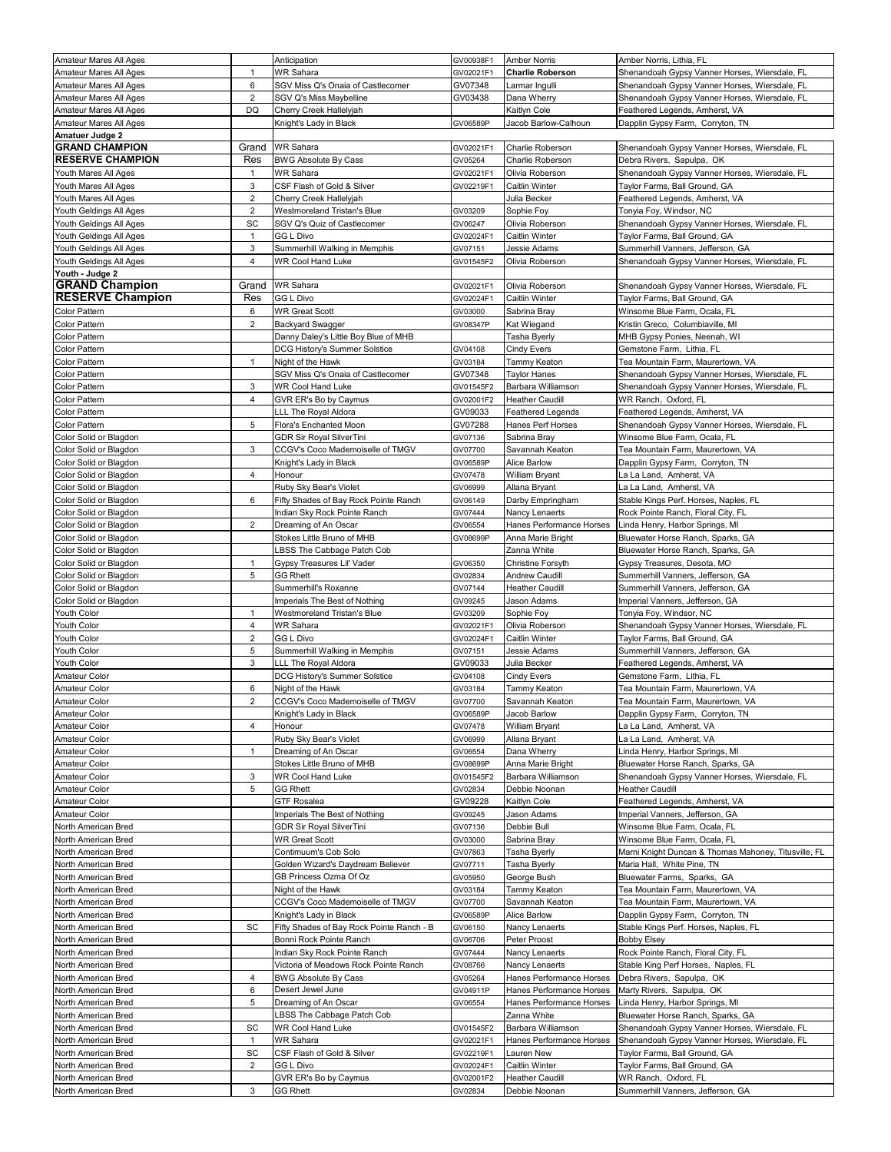| Amateur Mares All Ages                             |                    | Anticipation                                                        | GV00938F1            | <b>Amber Norris</b>               | Amber Norris, Lithia, FL                                                  |
|----------------------------------------------------|--------------------|---------------------------------------------------------------------|----------------------|-----------------------------------|---------------------------------------------------------------------------|
| Amateur Mares All Ages                             | $\mathbf{1}$       | <b>WR Sahara</b>                                                    | GV02021F1            | <b>Charlie Roberson</b>           | Shenandoah Gypsy Vanner Horses, Wiersdale, FL                             |
| Amateur Mares All Ages                             | 6                  | SGV Miss Q's Onaia of Castlecomer                                   | GV07348              | Larmar Ingulli                    | Shenandoah Gypsy Vanner Horses, Wiersdale, FL                             |
| Amateur Mares All Ages                             | $\overline{2}$     | SGV Q's Miss Maybelline                                             | GV03438              | Dana Wherry                       | Shenandoah Gypsy Vanner Horses, Wiersdale, FL                             |
| Amateur Mares All Ages                             | DQ                 | Cherry Creek Hallelyjah                                             |                      | Kaitlyn Cole                      | Feathered Legends, Amherst, VA                                            |
| Amateur Mares All Ages                             |                    | Knight's Lady in Black                                              | GV06589P             | Jacob Barlow-Calhoun              | Dapplin Gypsy Farm, Corryton, TN                                          |
| Amatuer Judge 2                                    |                    |                                                                     |                      |                                   |                                                                           |
| <b>GRAND CHAMPION</b>                              | Grand              | <b>WR Sahara</b>                                                    | GV02021F1            | Charlie Roberson                  | Shenandoah Gypsy Vanner Horses, Wiersdale, FL                             |
| <b>RESERVE CHAMPION</b>                            | Res                | <b>BWG Absolute By Cass</b>                                         | GV05264              | Charlie Roberson                  | Debra Rivers, Sapulpa, OK                                                 |
| Youth Mares All Ages                               | $\mathbf{1}$       | <b>WR Sahara</b>                                                    | GV02021F1            | Olivia Roberson                   | Shenandoah Gypsy Vanner Horses, Wiersdale, FL                             |
| Youth Mares All Ages                               | 3                  | CSF Flash of Gold & Silver                                          | GV02219F1            | Caitlin Winter                    | Taylor Farms, Ball Ground, GA                                             |
| Youth Mares All Ages                               | 2                  | Cherry Creek Hallelyjah                                             |                      | Julia Becker                      | Feathered Legends, Amherst, VA                                            |
| Youth Geldings All Ages                            | $\overline{2}$     | Westmoreland Tristan's Blue                                         | GV03209              | Sophie Foy                        | Tonyia Foy, Windsor, NC                                                   |
| Youth Geldings All Ages                            | SC<br>$\mathbf{1}$ | SGV Q's Quiz of Castlecomer<br>GG L Divo                            | GV06247              | Olivia Roberson                   | Shenandoah Gypsy Vanner Horses, Wiersdale, FL                             |
| Youth Geldings All Ages<br>Youth Geldings All Ages | 3                  | Summerhill Walking in Memphis                                       | GV02024F1<br>GV07151 | Caitlin Winter<br>Jessie Adams    | Taylor Farms, Ball Ground, GA<br>Summerhill Vanners, Jefferson, GA        |
| Youth Geldings All Ages                            | 4                  | <b>WR Cool Hand Luke</b>                                            | GV01545F2            | Olivia Roberson                   | Shenandoah Gypsy Vanner Horses, Wiersdale, FL                             |
| Youth - Judge 2                                    |                    |                                                                     |                      |                                   |                                                                           |
| <b>GRAND Champion</b>                              | Grand              | <b>WR Sahara</b>                                                    | GV02021F1            | Olivia Roberson                   | Shenandoah Gypsy Vanner Horses, Wiersdale, FL                             |
| <b>RESERVE Champion</b>                            | Res                | <b>GG L Divo</b>                                                    | GV02024F1            | Caitlin Winter                    | Taylor Farms, Ball Ground, GA                                             |
| Color Pattern                                      | 6                  | <b>WR Great Scott</b>                                               | GV03000              | Sabrina Bray                      | Winsome Blue Farm, Ocala, FL                                              |
| Color Pattern                                      | $\overline{2}$     | <b>Backyard Swagger</b>                                             | GV08347P             | Kat Wiegand                       | Kristin Greco, Columbiaville, MI                                          |
| Color Pattern                                      |                    | Danny Daley's Little Boy Blue of MHB                                |                      | Tasha Byerly                      | MHB Gypsy Ponies, Neenah, WI                                              |
| Color Pattern                                      |                    | DCG History's Summer Solstice                                       | GV04108              | Cindy Evers                       | Gemstone Farm, Lithia, FL                                                 |
| Color Pattern                                      | $\mathbf{1}$       | Night of the Hawk                                                   | GV03184              | Tammy Keaton                      | Tea Mountain Farm, Maurertown, VA                                         |
| Color Pattern                                      |                    | SGV Miss Q's Onaia of Castlecomer                                   | GV07348              | <b>Taylor Hanes</b>               | Shenandoah Gypsy Vanner Horses, Wiersdale, FL                             |
| Color Pattern                                      | 3                  | <b>WR Cool Hand Luke</b>                                            | GV01545F2            | Barbara Williamson                | Shenandoah Gypsy Vanner Horses, Wiersdale, FL                             |
| Color Pattern                                      | $\overline{4}$     | GVR ER's Bo by Caymus                                               | GV02001F2            | <b>Heather Caudill</b>            | WR Ranch, Oxford, FL                                                      |
| Color Pattern                                      |                    | LLL The Royal Aldora                                                | GV09033              | <b>Feathered Legends</b>          | Feathered Legends, Amherst, VA                                            |
| Color Pattern                                      | 5                  | Flora's Enchanted Moon                                              | GV07288              | Hanes Perf Horses                 | Shenandoah Gypsy Vanner Horses, Wiersdale, FL                             |
| Color Solid or Blagdon                             |                    | <b>GDR Sir Royal SilverTini</b>                                     | GV07136              | Sabrina Bray                      | Winsome Blue Farm, Ocala, FL                                              |
| Color Solid or Blagdon                             | 3                  | CCGV's Coco Mademoiselle of TMGV                                    | GV07700              | Savannah Keaton                   | Tea Mountain Farm, Maurertown, VA                                         |
| Color Solid or Blagdon                             |                    | Knight's Lady in Black                                              | GV06589P             | Alice Barlow                      | Dapplin Gypsy Farm, Corryton, TN                                          |
| Color Solid or Blagdon                             | $\overline{4}$     | Honour                                                              | GV07478              | William Bryant                    | La La Land, Amherst, VA                                                   |
| Color Solid or Blagdon<br>Color Solid or Blagdon   | 6                  | Ruby Sky Bear's Violet<br>Fifty Shades of Bay Rock Pointe Ranch     | GV06999<br>GV06149   | Allana Bryant<br>Darby Empringham | La La Land, Amherst, VA<br>Stable Kings Perf. Horses, Naples, FL          |
| Color Solid or Blagdon                             |                    | Indian Sky Rock Pointe Ranch                                        | GV07444              | Nancy Lenaerts                    | Rock Pointe Ranch, Floral City, FL                                        |
| Color Solid or Blagdon                             | $\overline{2}$     | Dreaming of An Oscar                                                | GV06554              | Hanes Performance Horses          | Linda Henry, Harbor Springs, MI                                           |
| Color Solid or Blagdon                             |                    | Stokes Little Bruno of MHB                                          | GV08699P             | Anna Marie Bright                 | Bluewater Horse Ranch, Sparks, GA                                         |
| Color Solid or Blagdon                             |                    | BSS The Cabbage Patch Cob                                           |                      | Zanna White                       | Bluewater Horse Ranch, Sparks, GA                                         |
| Color Solid or Blagdon                             | 1                  | Gypsy Treasures Lil' Vader                                          | GV06350              | Christine Forsyth                 | Gypsy Treasures, Desota, MO                                               |
| Color Solid or Blagdon                             | 5                  | <b>GG Rhett</b>                                                     | GV02834              | Andrew Caudill                    | Summerhill Vanners, Jefferson, GA                                         |
| Color Solid or Blagdon                             |                    | Summerhill's Roxanne                                                | GV07144              | <b>Heather Caudill</b>            | Summerhill Vanners, Jefferson, GA                                         |
| Color Solid or Blagdon                             |                    | Imperials The Best of Nothing                                       | GV09245              | Jason Adams                       | Imperial Vanners, Jefferson, GA                                           |
| Youth Color                                        | $\mathbf{1}$       | Westmoreland Tristan's Blue                                         | GV03209              | Sophie Foy                        | Tonyia Foy, Windsor, NC                                                   |
| Youth Color                                        | 4                  | WR Sahara                                                           | GV02021F1            | Olivia Roberson                   | Shenandoah Gypsy Vanner Horses, Wiersdale, FL                             |
| Youth Color                                        | $\overline{2}$     | GG L Divo                                                           | GV02024F1            | Caitlin Winter                    | Taylor Farms, Ball Ground, GA                                             |
| Youth Color                                        | 5                  | Summerhill Walking in Memphis                                       | GV07151              | Jessie Adams                      | Summerhill Vanners, Jefferson, GA                                         |
| Youth Color                                        | 3                  | LLL The Royal Aldora                                                | GV09033              | Julia Becker                      | Feathered Legends, Amherst, VA                                            |
| Amateur Color<br>Amateur Color                     | 6                  | DCG History's Summer Solstice<br>Night of the Hawk                  | GV04108<br>GV03184   | Cindy Evers                       | Gemstone Farm, Lithia, FL                                                 |
| Amateur Color                                      | $\overline{2}$     | CCGV's Coco Mademoiselle of TMGV                                    | GV07700              | Tammy Keaton<br>Savannah Keaton   | Tea Mountain Farm, Maurertown, VA<br>Tea Mountain Farm, Maurertown, VA    |
| Amateur Color                                      |                    | Knight's Lady in Black                                              | GV06589P             | Jacob Barlow                      | Dapplin Gypsy Farm, Corryton, TN                                          |
| Amateur Color                                      | 4                  | Honour                                                              | GV07478              | William Bryant                    | La La Land, Amherst, VA                                                   |
| Amateur Color                                      |                    | Ruby Sky Bear's Violet                                              | GV06999              | Allana Bryant                     | La La Land, Amherst, VA                                                   |
| Amateur Color                                      | $\mathbf{1}$       | Dreaming of An Oscar                                                | GV06554              | Dana Wherry                       | Linda Henry, Harbor Springs, MI                                           |
| Amateur Color                                      |                    | Stokes Little Bruno of MHB                                          | GV08699P             | Anna Marie Bright                 | Bluewater Horse Ranch, Sparks, GA                                         |
| Amateur Color                                      | 3                  | <b>WR Cool Hand Luke</b>                                            | GV01545F2            | Barbara Williamson                | Shenandoah Gypsy Vanner Horses, Wiersdale, FL                             |
| Amateur Color                                      | 5                  | GG Rhett                                                            | GV02834              | Debbie Noonan                     | <b>Heather Caudill</b>                                                    |
| Amateur Color                                      |                    | GTF Rosalea                                                         | GV09228              | Kaitlyn Cole                      | Feathered Legends, Amherst, VA                                            |
| Amateur Color                                      |                    | Imperials The Best of Nothing                                       | GV09245              | Jason Adams                       | Imperial Vanners, Jefferson, GA                                           |
| North American Bred                                |                    | <b>GDR Sir Royal SilverTini</b>                                     | GV07136              | Debbie Bull                       | Winsome Blue Farm, Ocala, FL                                              |
| North American Bred                                |                    | <b>WR Great Scott</b>                                               | GV03000              | Sabrina Bray                      | Winsome Blue Farm, Ocala, FL                                              |
| North American Bred                                |                    | Contimuum's Cob Solo                                                | GV07863              | Tasha Byerly                      | Marni Knight Duncan & Thomas Mahoney, Titusville, FL                      |
| North American Bred                                |                    | Golden Wizard's Daydream Believer                                   | GV07711              | Tasha Byerly                      | Maria Hall, White Pine, TN                                                |
| North American Bred                                |                    | GB Princess Ozma Of Oz                                              | GV05950              | George Bush                       | Bluewater Farms, Sparks, GA                                               |
| North American Bred                                |                    | Night of the Hawk                                                   | GV03184              | Tammy Keaton                      | Tea Mountain Farm, Maurertown, VA                                         |
| North American Bred                                |                    | CCGV's Coco Mademoiselle of TMGV                                    | GV07700              | Savannah Keaton<br>Alice Barlow   | Tea Mountain Farm, Maurertown, VA                                         |
| North American Bred<br>North American Bred         | SC                 | Knight's Lady in Black<br>Fifty Shades of Bay Rock Pointe Ranch - B | GV06589P<br>GV06150  | Nancy Lenaerts                    | Dapplin Gypsy Farm, Corryton, TN<br>Stable Kings Perf. Horses, Naples, FL |
| North American Bred                                |                    | Bonni Rock Pointe Ranch                                             | GV06706              | Peter Proost                      | <b>Bobby Elsey</b>                                                        |
| North American Bred                                |                    | Indian Sky Rock Pointe Ranch                                        | GV07444              | Nancy Lenaerts                    | Rock Pointe Ranch, Floral City, FL                                        |
| North American Bred                                |                    | Victoria of Meadows Rock Pointe Ranch                               | GV08766              | Nancy Lenaerts                    | Stable King Perf Horses, Naples, FL                                       |
| North American Bred                                | 4                  | <b>BWG Absolute By Cass</b>                                         | GV05264              | Hanes Performance Horses          | Debra Rivers, Sapulpa, OK                                                 |
| North American Bred                                | 6                  | Desert Jewel June                                                   | GV04911P             | Hanes Performance Horses          | Marty Rivers, Sapulpa, OK                                                 |
| North American Bred                                | 5                  | Dreaming of An Oscar                                                | GV06554              | Hanes Performance Horses          | Linda Henry, Harbor Springs, MI                                           |
| North American Bred                                |                    | LBSS The Cabbage Patch Cob                                          |                      | Zanna White                       | Bluewater Horse Ranch, Sparks, GA                                         |
| North American Bred                                | SC                 | WR Cool Hand Luke                                                   | GV01545F2            | Barbara Williamson                | Shenandoah Gypsy Vanner Horses, Wiersdale, FL                             |
| North American Bred                                | $\mathbf{1}$       | WR Sahara                                                           | GV02021F1            | Hanes Performance Horses          | Shenandoah Gypsy Vanner Horses, Wiersdale, FL                             |
| North American Bred                                | SC                 | CSF Flash of Gold & Silver                                          | GV02219F1            | Lauren New                        | Taylor Farms, Ball Ground, GA                                             |
| North American Bred                                | 2                  | GG L Divo                                                           | GV02024F1            | Caitlin Winter                    | Taylor Farms, Ball Ground, GA                                             |
| North American Bred                                |                    | GVR ER's Bo by Caymus                                               | GV02001F2            | <b>Heather Caudill</b>            | WR Ranch, Oxford, FL                                                      |
| North American Bred                                | 3                  | <b>GG Rhett</b>                                                     | GV02834              | Debbie Noonan                     | Summerhill Vanners, Jefferson, GA                                         |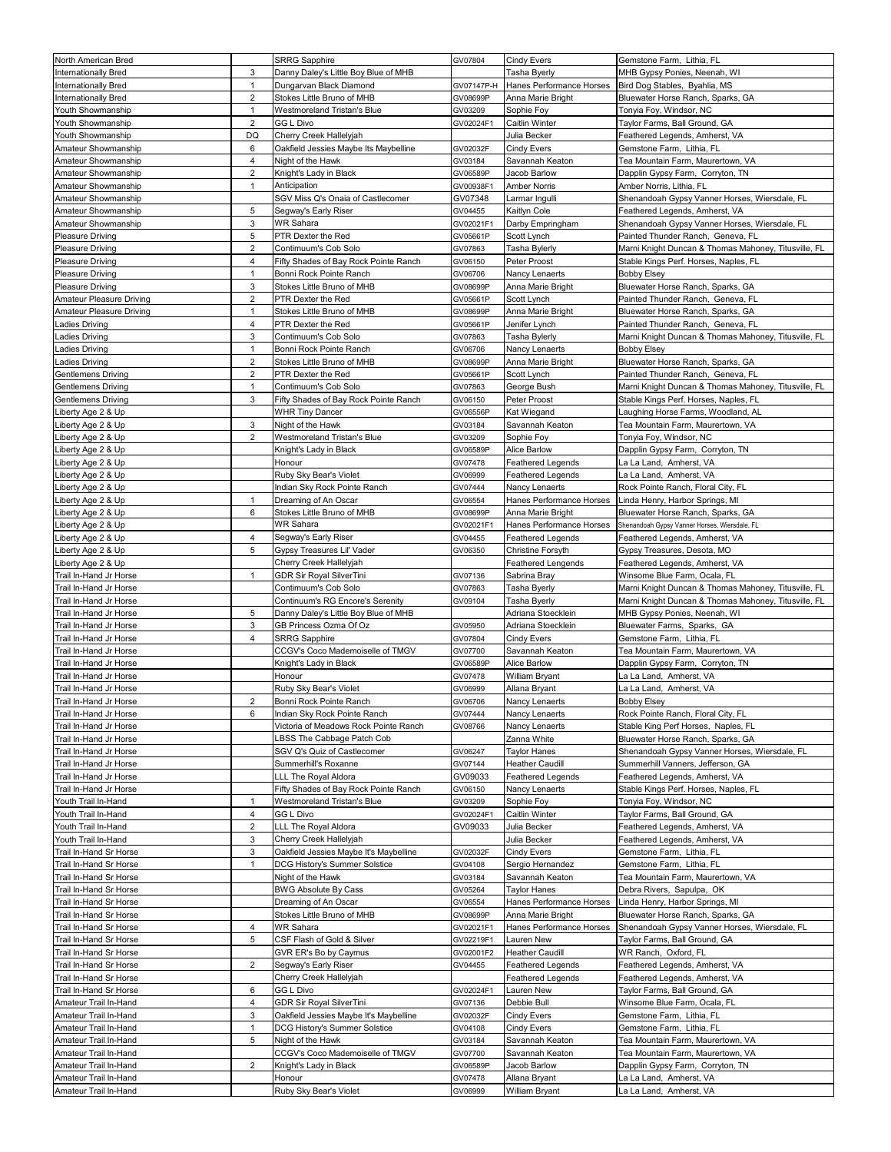| North American Bred       |                         | <b>SRRG Sapphire</b>                   | GV07804            | <b>Cindy Evers</b>              | Gemstone Farm, Lithia, FL                                                       |
|---------------------------|-------------------------|----------------------------------------|--------------------|---------------------------------|---------------------------------------------------------------------------------|
| Internationally Bred      | 3                       | Danny Daley's Little Boy Blue of MHB   |                    | Tasha Byerly                    | MHB Gypsy Ponies, Neenah, WI                                                    |
| Internationally Bred      | $\mathbf{1}$            | Dungarvan Black Diamond                | GV07147P-H         | Hanes Performance Horses        | Bird Dog Stables, Byahlia, MS                                                   |
| Internationally Bred      | 2                       | Stokes Little Bruno of MHB             | GV08699P           | Anna Marie Bright               | Bluewater Horse Ranch, Sparks, GA                                               |
| Youth Showmanship         | 1                       | Westmoreland Tristan's Blue            | GV03209            | Sophie Foy                      | Tonyia Foy, Windsor, NC                                                         |
| Youth Showmanship         | 2                       | GG L Divo                              | GV02024F1          | Caitlin Winter                  | Taylor Farms, Ball Ground, GA                                                   |
| Youth Showmanship         | DQ                      | Cherry Creek Hallelyjah                |                    | Julia Becker                    | Feathered Legends, Amherst, VA                                                  |
| Amateur Showmanship       | 6                       | Oakfield Jessies Maybe Its Maybelline  | GV02032F           | <b>Cindy Evers</b>              | Gemstone Farm, Lithia, FL                                                       |
| Amateur Showmanship       | 4                       | Night of the Hawk                      | GV03184            | Savannah Keaton                 | Tea Mountain Farm, Maurertown, VA                                               |
| Amateur Showmanship       | $\overline{2}$          | Knight's Lady in Black                 | GV06589P           | Jacob Barlow                    | Dapplin Gypsy Farm, Corryton, TN                                                |
| Amateur Showmanship       | $\mathbf{1}$            | Anticipation                           | GV00938F1          | <b>Amber Norris</b>             | Amber Norris, Lithia, FL                                                        |
| Amateur Showmanship       |                         | SGV Miss Q's Onaia of Castlecomer      | GV07348            | Larmar Ingulli                  | Shenandoah Gypsy Vanner Horses, Wiersdale, FL                                   |
|                           | 5                       |                                        |                    |                                 |                                                                                 |
| Amateur Showmanship       | 3                       | Segway's Early Riser<br>WR Sahara      | GV04455            | Kaitlyn Cole                    | Feathered Legends, Amherst, VA<br>Shenandoah Gypsy Vanner Horses, Wiersdale, FL |
| Amateur Showmanship       |                         | PTR Dexter the Red                     | GV02021F1          | Darby Empringham                | Painted Thunder Ranch, Geneva, FL                                               |
| Pleasure Driving          | 5                       | Contimuum's Cob Solo                   | GV05661P           | Scott Lynch                     |                                                                                 |
| Pleasure Driving          | $\overline{\mathbf{c}}$ |                                        | GV07863            | Tasha Bylerly                   | Marni Knight Duncan & Thomas Mahoney, Titusville, FL                            |
| Pleasure Driving          | 4                       | Fifty Shades of Bay Rock Pointe Ranch  | GV06150            | Peter Proost                    | Stable Kings Perf. Horses, Naples, FL                                           |
| Pleasure Driving          | 1                       | Bonni Rock Pointe Ranch                | GV06706            | Nancy Lenaerts                  | <b>Bobby Elsey</b>                                                              |
| Pleasure Driving          | 3                       | Stokes Little Bruno of MHB             | GV08699P           | Anna Marie Bright               | Bluewater Horse Ranch, Sparks, GA                                               |
| Amateur Pleasure Driving  | 2                       | PTR Dexter the Red                     | GV05661P           | Scott Lynch                     | Painted Thunder Ranch, Geneva, FL                                               |
| Amateur Pleasure Driving  | $\mathbf{1}$            | Stokes Little Bruno of MHB             | GV08699P           | Anna Marie Bright               | Bluewater Horse Ranch, Sparks, GA                                               |
| Ladies Driving            | 4                       | PTR Dexter the Red                     | GV05661P           | Jenifer Lynch                   | Painted Thunder Ranch, Geneva, FL                                               |
| Ladies Driving            | 3                       | Contimuum's Cob Solo                   | GV07863            | Tasha Bylerly                   | Marni Knight Duncan & Thomas Mahoney, Titusville, FL                            |
| Ladies Driving            | 1                       | Bonni Rock Pointe Ranch                | GV06706            | Nancy Lenaerts                  | <b>Bobby Elsey</b>                                                              |
| Ladies Driving            | $\overline{2}$          | Stokes Little Bruno of MHB             | GV08699P           | Anna Marie Bright               | Bluewater Horse Ranch, Sparks, GA                                               |
| Gentlemens Driving        | $\overline{2}$          | PTR Dexter the Red                     | GV05661P           | Scott Lynch                     | Painted Thunder Ranch, Geneva, FL                                               |
| <b>Gentlemens Driving</b> | 1                       | Contimuum's Cob Solo                   | GV07863            | George Bush                     | Marni Knight Duncan & Thomas Mahoney, Titusville, FL                            |
| <b>Gentlemens Driving</b> | 3                       | Fifty Shades of Bay Rock Pointe Ranch  | GV06150            | Peter Proost                    | Stable Kings Perf. Horses, Naples, FL                                           |
| Liberty Age 2 & Up        |                         | <b>WHR Tiny Dancer</b>                 | GV06556P           | Kat Wiegand                     | Laughing Horse Farms, Woodland, AL                                              |
| Liberty Age 2 & Up        | 3                       | Night of the Hawk                      | GV03184            | Savannah Keaton                 | Tea Mountain Farm, Maurertown, VA                                               |
| Liberty Age 2 & Up        | 2                       | Westmoreland Tristan's Blue            | GV03209            | Sophie Foy                      | Tonyia Foy, Windsor, NC                                                         |
| Liberty Age 2 & Up        |                         | Knight's Lady in Black                 | GV06589P           | Alice Barlow                    | Dapplin Gypsy Farm, Corryton, TN                                                |
| Liberty Age 2 & Up        |                         | Honour                                 | GV07478            | Feathered Legends               | La La Land, Amherst, VA                                                         |
| Liberty Age 2 & Up        |                         | Ruby Sky Bear's Violet                 | GV06999            | Feathered Legends               | La La Land, Amherst, VA                                                         |
| Liberty Age 2 & Up        |                         | Indian Sky Rock Pointe Ranch           | GV07444            | Nancy Lenaerts                  | Rock Pointe Ranch, Floral City, FL                                              |
| Liberty Age 2 & Up        | $\mathbf{1}$            | Dreaming of An Oscar                   | GV06554            | Hanes Performance Horses        | Linda Henry, Harbor Springs, MI                                                 |
| Liberty Age 2 & Up        | 6                       | Stokes Little Bruno of MHB             | GV08699P           | Anna Marie Bright               | Bluewater Horse Ranch, Sparks, GA                                               |
| Liberty Age 2 & Up        |                         | <b>WR Sahara</b>                       | GV02021F1          | Hanes Performance Horses        | Shenandoah Gypsy Vanner Horses, Wiersdale, FL                                   |
| Liberty Age 2 & Up        | 4                       | Segway's Early Riser                   | GV04455            | <b>Feathered Legends</b>        | Feathered Legends, Amherst, VA                                                  |
| Liberty Age 2 & Up        | 5                       | Gypsy Treasures Lil' Vader             | GV06350            | Christine Forsyth               | Gypsy Treasures, Desota, MO                                                     |
| Liberty Age 2 & Up        |                         | Cherry Creek Hallelyjah                |                    | <b>Feathered Lengends</b>       | Feathered Legends, Amherst, VA                                                  |
| Trail In-Hand Jr Horse    | $\mathbf{1}$            | <b>GDR Sir Royal SilverTini</b>        | GV07136            | Sabrina Bray                    | Winsome Blue Farm, Ocala, FL                                                    |
| Trail In-Hand Jr Horse    |                         | Contimuum's Cob Solo                   | GV07863            | <b>Tasha Byerly</b>             | Marni Knight Duncan & Thomas Mahoney, Titusville, FL                            |
| Trail In-Hand Jr Horse    |                         | Continuum's RG Encore's Serenity       | GV09104            | Tasha Byerly                    | Marni Knight Duncan & Thomas Mahoney, Titusville, FL                            |
| Trail In-Hand Jr Horse    | 5                       | Danny Daley's Little Boy Blue of MHB   |                    | Adriana Stoecklein              | MHB Gypsy Ponies, Neenah, WI                                                    |
| Trail In-Hand Jr Horse    | 3                       | GB Princess Ozma Of Oz                 | GV05950            | Adriana Stoecklein              | Bluewater Farms, Sparks, GA                                                     |
| Trail In-Hand Jr Horse    | 4                       | <b>SRRG Sapphire</b>                   | GV07804            | Cindy Evers                     | Gemstone Farm, Lithia, FL                                                       |
| Trail In-Hand Jr Horse    |                         | CCGV's Coco Mademoiselle of TMGV       | GV07700            | Savannah Keaton                 | Tea Mountain Farm, Maurertown, VA                                               |
| Trail In-Hand Jr Horse    |                         | Knight's Lady in Black                 | GV06589P           | Alice Barlow                    | Dapplin Gypsy Farm, Corryton, TN                                                |
| Trail In-Hand Jr Horse    |                         | Honour                                 | GV07478            | William Bryant                  | La La Land, Amherst, VA                                                         |
| Trail In-Hand Jr Horse    |                         | Ruby Sky Bear's Violet                 | GV06999            | Allana Bryant                   | La La Land, Amherst, VA                                                         |
|                           | $\overline{2}$          |                                        | GV06706            | Nancy Lenaerts                  |                                                                                 |
| Trail In-Hand Jr Horse    |                         | Bonni Rock Pointe Ranch                |                    |                                 | <b>Bobby Elsey</b>                                                              |
| Trail In-Hand Jr Horse    | 6                       | Indian Sky Rock Pointe Ranch           | GV07444            | Nancy Lenaerts                  | Rock Pointe Ranch, Floral City, FL                                              |
| Trail In-Hand Jr Horse    |                         | Victoria of Meadows Rock Pointe Ranch  | GV08766            | Nancy Lenaerts                  | Stable King Perf Horses, Naples, FL                                             |
| Trail In-Hand Jr Horse    |                         | LBSS The Cabbage Patch Cob             |                    | Zanna White                     | Bluewater Horse Ranch, Sparks, GA                                               |
| Trail In-Hand Jr Horse    |                         | SGV Q's Quiz of Castlecomer            | GV06247            | <b>Taylor Hanes</b>             | Shenandoah Gypsy Vanner Horses, Wiersdale, FL                                   |
| Trail In-Hand Jr Horse    |                         | Summerhill's Roxanne                   | GV07144            | <b>Heather Caudill</b>          | Summerhill Vanners, Jefferson, GA                                               |
| Trail In-Hand Jr Horse    |                         | LLL The Royal Aldora                   | GV09033            | Feathered Legends               | Feathered Legends, Amherst, VA                                                  |
| Trail In-Hand Jr Horse    |                         | Fifty Shades of Bay Rock Pointe Ranch  | GV06150            | Nancy Lenaerts                  | Stable Kings Perf. Horses, Naples, FL                                           |
| Youth Trail In-Hand       | 1                       | Westmoreland Tristan's Blue            | GV03209            | Sophie Foy                      | Tonyia Foy, Windsor, NC                                                         |
| Youth Trail In-Hand       | 4                       | <b>GG L Divo</b>                       | GV02024F1          | Caitlin Winter                  | Taylor Farms, Ball Ground, GA                                                   |
| Youth Trail In-Hand       | 2                       | LLL The Royal Aldora                   | GV09033            | Julia Becker                    | Feathered Legends, Amherst, VA                                                  |
| Youth Trail In-Hand       | 3                       | Cherry Creek Hallelyjah                |                    | Julia Becker                    | Feathered Legends, Amherst, VA                                                  |
| Trail In-Hand Sr Horse    | 3                       | Oakfield Jessies Maybe It's Maybelline | GV02032F           | <b>Cindy Evers</b>              | Gemstone Farm, Lithia, FL                                                       |
| Trail In-Hand Sr Horse    | 1                       | DCG History's Summer Solstice          | GV04108            | Sergio Hernandez                | Gemstone Farm, Lithia, FL                                                       |
| Trail In-Hand Sr Horse    |                         | Night of the Hawk                      | GV03184            | Savannah Keaton                 | Tea Mountain Farm, Maurertown, VA                                               |
| Trail In-Hand Sr Horse    |                         | <b>BWG Absolute By Cass</b>            | GV05264            | Taylor Hanes                    | Debra Rivers, Sapulpa, OK                                                       |
| Trail In-Hand Sr Horse    |                         | Dreaming of An Oscar                   | GV06554            | Hanes Performance Horses        | Linda Henry, Harbor Springs, MI                                                 |
| Trail In-Hand Sr Horse    |                         | Stokes Little Bruno of MHB             | GV08699P           | Anna Marie Bright               | Bluewater Horse Ranch, Sparks, GA                                               |
| Trail In-Hand Sr Horse    | 4                       | <b>WR Sahara</b>                       | GV02021F1          | Hanes Performance Horses        | Shenandoah Gypsy Vanner Horses, Wiersdale, FL                                   |
| Trail In-Hand Sr Horse    | 5                       | CSF Flash of Gold & Silver             | GV02219F1          | Lauren New                      | Taylor Farms, Ball Ground, GA                                                   |
| Trail In-Hand Sr Horse    |                         | GVR ER's Bo by Caymus                  | GV02001F2          | <b>Heather Caudill</b>          | WR Ranch,  Oxford, FL                                                           |
| Trail In-Hand Sr Horse    | 2                       | Segway's Early Riser                   | GV04455            | <b>Feathered Legends</b>        | Feathered Legends, Amherst, VA                                                  |
| Trail In-Hand Sr Horse    |                         | Cherry Creek Hallelyjah                |                    | Feathered Legends               | Feathered Legends, Amherst, VA                                                  |
| Trail In-Hand Sr Horse    | 6                       | GG L Divo                              | GV02024F1          | Lauren New                      | Taylor Farms, Ball Ground, GA                                                   |
| Amateur Trail In-Hand     | 4                       | <b>GDR Sir Royal SilverTini</b>        | GV07136            | Debbie Bull                     | Winsome Blue Farm, Ocala, FL                                                    |
| Amateur Trail In-Hand     | 3                       | Oakfield Jessies Maybe It's Maybelline | GV02032F           | <b>Cindy Evers</b>              | Gemstone Farm, Lithia, FL                                                       |
| Amateur Trail In-Hand     | $\mathbf{1}$            | DCG History's Summer Solstice          | GV04108            | <b>Cindy Evers</b>              | Gemstone Farm, Lithia, FL                                                       |
| Amateur Trail In-Hand     | 5                       | Night of the Hawk                      | GV03184            | Savannah Keaton                 | Tea Mountain Farm, Maurertown, VA                                               |
| Amateur Trail In-Hand     |                         | CCGV's Coco Mademoiselle of TMGV       | GV07700            | Savannah Keaton                 | Tea Mountain Farm, Maurertown, VA                                               |
| Amateur Trail In-Hand     | 2                       | Knight's Lady in Black                 | GV06589P           | Jacob Barlow                    | Dapplin Gypsy Farm, Corryton, TN                                                |
| Amateur Trail In-Hand     |                         |                                        |                    |                                 |                                                                                 |
|                           |                         |                                        |                    |                                 |                                                                                 |
| Amateur Trail In-Hand     |                         | Honour<br>Ruby Sky Bear's Violet       | GV07478<br>GV06999 | Allana Bryant<br>William Bryant | La La Land, Amherst, VA<br>La La Land, Amherst, VA                              |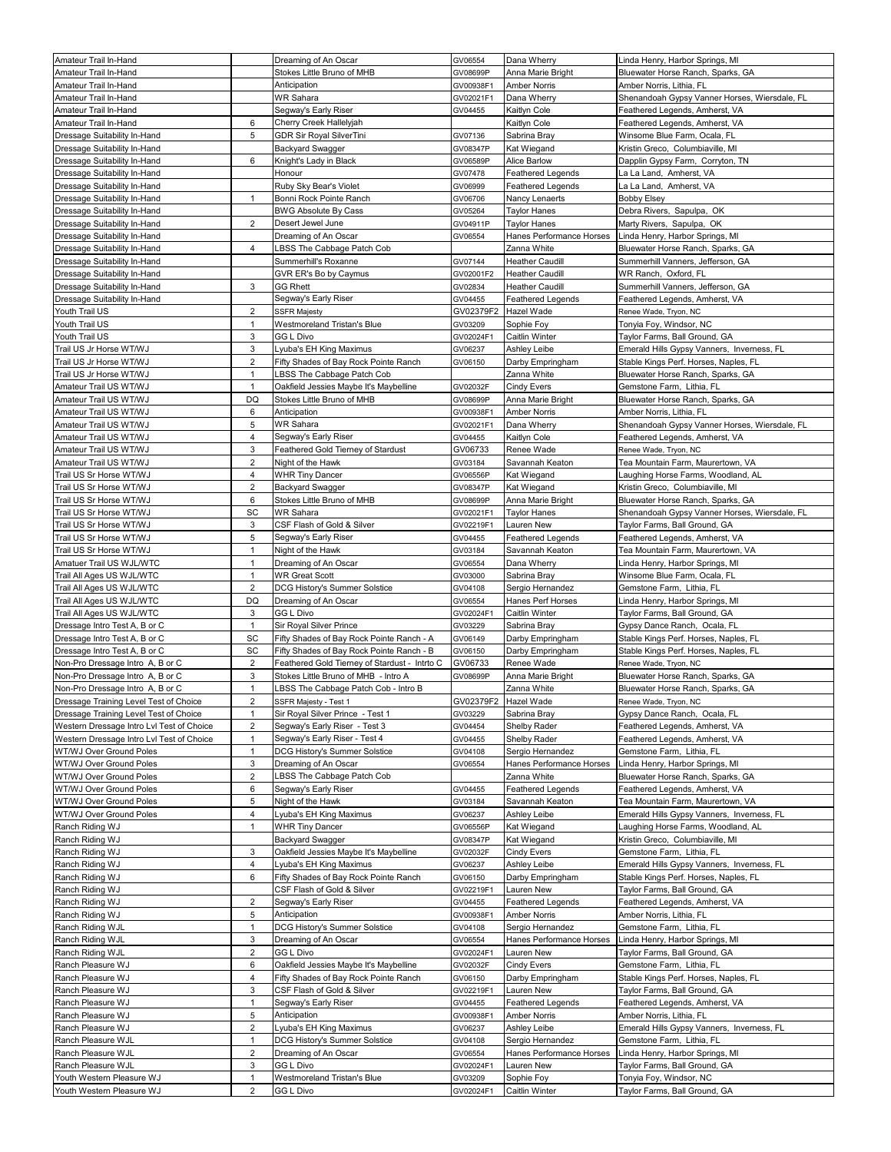| Amateur Trail In-Hand                     |                | Dreaming of An Oscar                               | GV06554   | Dana Wherry              | Linda Henry, Harbor Springs, MI                                        |
|-------------------------------------------|----------------|----------------------------------------------------|-----------|--------------------------|------------------------------------------------------------------------|
| Amateur Trail In-Hand                     |                | Stokes Little Bruno of MHB                         | GV08699P  | Anna Marie Bright        | Bluewater Horse Ranch, Sparks, GA                                      |
| Amateur Trail In-Hand                     |                | Anticipation                                       | GV00938F1 | <b>Amber Norris</b>      | Amber Norris, Lithia, FL                                               |
| Amateur Trail In-Hand                     |                | WR Sahara                                          | GV02021F1 | Dana Wherry              | Shenandoah Gypsy Vanner Horses, Wiersdale, FL                          |
| Amateur Trail In-Hand                     |                | Segway's Early Riser                               | GV04455   | Kaitlyn Cole             | Feathered Legends, Amherst, VA                                         |
| Amateur Trail In-Hand                     | 6              | Cherry Creek Hallelyjah                            |           | Kaitlyn Cole             | Feathered Legends, Amherst, VA                                         |
| Dressage Suitability In-Hand              | 5              | <b>GDR Sir Royal SilverTini</b>                    | GV07136   | Sabrina Bray             | Winsome Blue Farm, Ocala, FL                                           |
| Dressage Suitability In-Hand              |                | <b>Backyard Swagger</b>                            | GV08347P  | Kat Wiegand              | Kristin Greco, Columbiaville, MI                                       |
| Dressage Suitability In-Hand              | 6              | Knight's Lady in Black                             | GV06589P  | Alice Barlow             | Dapplin Gypsy Farm, Corryton, TN                                       |
| Dressage Suitability In-Hand              |                | Honour                                             | GV07478   | Feathered Legends        | La La Land, Amherst, VA                                                |
| Dressage Suitability In-Hand              |                | Ruby Sky Bear's Violet                             | GV06999   | <b>Feathered Legends</b> | La La Land, Amherst, VA                                                |
| Dressage Suitability In-Hand              | $\mathbf{1}$   | Bonni Rock Pointe Ranch                            | GV06706   | Nancy Lenaerts           | <b>Bobby Elsey</b>                                                     |
| Dressage Suitability In-Hand              |                | <b>BWG Absolute By Cass</b>                        | GV05264   | <b>Taylor Hanes</b>      | Debra Rivers, Sapulpa, OK                                              |
|                                           | $\overline{2}$ | Desert Jewel June                                  |           |                          |                                                                        |
| Dressage Suitability In-Hand              |                |                                                    | GV04911P  | <b>Taylor Hanes</b>      | Marty Rivers, Sapulpa, OK                                              |
| Dressage Suitability In-Hand              | 4              | Dreaming of An Oscar<br>LBSS The Cabbage Patch Cob | GV06554   | Hanes Performance Horses | Linda Henry, Harbor Springs, MI                                        |
| Dressage Suitability In-Hand              |                |                                                    | GV07144   | Zanna White              | Bluewater Horse Ranch, Sparks, GA<br>Summerhill Vanners, Jefferson, GA |
| Dressage Suitability In-Hand              |                | Summerhill's Roxanne                               |           | <b>Heather Caudill</b>   | WR Ranch, Oxford, FL                                                   |
| Dressage Suitability In-Hand              | 3              | GVR ER's Bo by Caymus<br><b>GG Rhett</b>           | GV02001F2 | <b>Heather Caudill</b>   |                                                                        |
| Dressage Suitability In-Hand              |                |                                                    | GV02834   | <b>Heather Caudill</b>   | Summerhill Vanners, Jefferson, GA                                      |
| Dressage Suitability In-Hand              |                | Segway's Early Riser                               | GV04455   | <b>Feathered Legends</b> | Feathered Legends, Amherst, VA                                         |
| Youth Trail US                            | 2              | <b>SSFR Majesty</b>                                | GV02379F2 | Hazel Wade               | Renee Wade, Tryon, NC                                                  |
| Youth Trail US                            | $\mathbf{1}$   | Westmoreland Tristan's Blue                        | GV03209   | Sophie Foy               | Tonyia Foy, Windsor, NC                                                |
| Youth Trail US                            | 3              | <b>GG L Divo</b>                                   | GV02024F1 | <b>Caitlin Winter</b>    | Taylor Farms, Ball Ground, GA                                          |
| Trail US Jr Horse WT/WJ                   | 3              | Lyuba's EH King Maximus                            | GV06237   | Ashley Leibe             | Emerald Hills Gypsy Vanners, Inverness, FL                             |
| Trail US Jr Horse WT/WJ                   | 2              | Fifty Shades of Bay Rock Pointe Ranch              | GV06150   | Darby Empringham         | Stable Kings Perf. Horses, Naples, FL                                  |
| Trail US Jr Horse WT/WJ                   | $\mathbf{1}$   | LBSS The Cabbage Patch Cob                         |           | Zanna White              | Bluewater Horse Ranch, Sparks, GA                                      |
| Amateur Trail US WT/WJ                    | $\mathbf{1}$   | Oakfield Jessies Maybe It's Maybelline             | GV02032F  | <b>Cindy Evers</b>       | Gemstone Farm. Lithia. FL                                              |
| Amateur Trail US WT/WJ                    | DQ             | Stokes Little Bruno of MHB                         | GV08699P  | Anna Marie Bright        | Bluewater Horse Ranch, Sparks, GA                                      |
| Amateur Trail US WT/WJ                    | 6              | Anticipation                                       | GV00938F1 | <b>Amber Norris</b>      | Amber Norris, Lithia, FL                                               |
| Amateur Trail US WT/WJ                    | 5              | <b>WR Sahara</b>                                   | GV02021F1 | Dana Wherry              | Shenandoah Gypsy Vanner Horses, Wiersdale, FL                          |
| Amateur Trail US WT/WJ                    | 4              | Segway's Early Riser                               | GV04455   | Kaitlyn Cole             | Feathered Legends, Amherst, VA                                         |
| Amateur Trail US WT/WJ                    | 3              | Feathered Gold Tierney of Stardust                 | GV06733   | Renee Wade               | Renee Wade, Tryon, NC                                                  |
| Amateur Trail US WT/WJ                    | 2              | Night of the Hawk                                  | GV03184   | Savannah Keaton          | Tea Mountain Farm, Maurertown, VA                                      |
| Trail US Sr Horse WT/WJ                   | 4              | <b>WHR Tiny Dancer</b>                             | GV06556P  | Kat Wiegand              | Laughing Horse Farms, Woodland, AL                                     |
| Trail US Sr Horse WT/WJ                   | $\overline{2}$ | Backyard Swagger                                   | GV08347P  | Kat Wiegand              | Kristin Greco, Columbiaville, MI                                       |
| Trail US Sr Horse WT/WJ                   | 6              | Stokes Little Bruno of MHB                         | GV08699P  | Anna Marie Bright        | Bluewater Horse Ranch, Sparks, GA                                      |
| Trail US Sr Horse WT/WJ                   | SC             | <b>WR Sahara</b>                                   | GV02021F1 | <b>Taylor Hanes</b>      | Shenandoah Gypsy Vanner Horses, Wiersdale, FL                          |
| Trail US Sr Horse WT/WJ                   | 3              | CSF Flash of Gold & Silver                         | GV02219F1 | Lauren New               | Taylor Farms, Ball Ground, GA                                          |
| Trail US Sr Horse WT/WJ                   | 5              | Segway's Early Riser                               | GV04455   | <b>Feathered Legends</b> | Feathered Legends, Amherst, VA                                         |
| Trail US Sr Horse WT/WJ                   | 1              | Night of the Hawk                                  | GV03184   | Savannah Keaton          | Tea Mountain Farm, Maurertown, VA                                      |
| Amatuer Trail US WJL/WTC                  | 1              | Dreaming of An Oscar                               | GV06554   | Dana Wherry              | Linda Henry, Harbor Springs, MI                                        |
| Trail All Ages US WJL/WTC                 | 1              | <b>WR Great Scott</b>                              | GV03000   | Sabrina Bray             | Winsome Blue Farm, Ocala, FL                                           |
| Trail All Ages US WJL/WTC                 | $\overline{2}$ | DCG History's Summer Solstice                      | GV04108   | Sergio Hernandez         | Gemstone Farm, Lithia, FL                                              |
| Trail All Ages US WJL/WTC                 | DQ             | Dreaming of An Oscar                               | GV06554   | Hanes Perf Horses        | Linda Henry, Harbor Springs, MI                                        |
| Trail All Ages US WJL/WTC                 | 3              | <b>GG L Divo</b>                                   | GV02024F1 | Caitlin Winter           | Taylor Farms, Ball Ground, GA                                          |
| Dressage Intro Test A, B or C             | $\mathbf{1}$   | Sir Royal Silver Prince                            | GV03229   | Sabrina Bray             | Gypsy Dance Ranch, Ocala, FL                                           |
| Dressage Intro Test A, B or C             | SC             | Fifty Shades of Bay Rock Pointe Ranch - A          | GV06149   | Darby Empringham         | Stable Kings Perf. Horses, Naples, FL                                  |
| Dressage Intro Test A, B or C             | SC             | Fifty Shades of Bay Rock Pointe Ranch - B          | GV06150   | Darby Empringham         | Stable Kings Perf. Horses, Naples, FL                                  |
| Non-Pro Dressage Intro A, B or C          | 2              | Feathered Gold Tierney of Stardust - Intrto C      | GV06733   | Renee Wade               | Renee Wade, Tryon, NC                                                  |
| Non-Pro Dressage Intro A, B or C          | 3              | Stokes Little Bruno of MHB - Intro A               | GV08699P  | Anna Marie Bright        | Bluewater Horse Ranch, Sparks, GA                                      |
| Non-Pro Dressage Intro A, B or C          | $\mathbf{1}$   | LBSS The Cabbage Patch Cob - Intro B               |           | Zanna White              | Bluewater Horse Ranch, Sparks, GA                                      |
| Dressage Training Level Test of Choice    | $\overline{2}$ | SSFR Majesty - Test 1                              |           | GV02379F2 Hazel Wade     | Renee Wade, Tryon, NC                                                  |
|                                           | $\mathbf{1}$   | Sir Royal Silver Prince - Test 1                   | GV03229   | Sabrina Bray             |                                                                        |
| Dressage Training Level Test of Choice    | 2              | Segway's Early Riser - Test 3                      |           |                          | Gypsy Dance Ranch, Ocala, FL                                           |
| Western Dressage Intro LvI Test of Choice |                |                                                    | GV04454   | Shelby Rader             | Feathered Legends, Amherst, VA                                         |
| Western Dressage Intro LvI Test of Choice | $\mathbf{1}$   | Segway's Early Riser - Test 4                      | GV04455   | Shelby Rader             | Feathered Legends, Amherst, VA                                         |
| WT/WJ Over Ground Poles                   | 1              | DCG History's Summer Solstice                      | GV04108   | Sergio Hernandez         | Gemstone Farm, Lithia, FL                                              |
| WT/WJ Over Ground Poles                   | 3              | Dreaming of An Oscar                               | GV06554   | Hanes Performance Horses | Linda Henry, Harbor Springs, MI                                        |
| WT/WJ Over Ground Poles                   | 2              | LBSS The Cabbage Patch Cob                         |           | Zanna White              | Bluewater Horse Ranch, Sparks, GA                                      |
| WT/WJ Over Ground Poles                   | 6              | Segway's Early Riser                               | GV04455   | Feathered Legends        | Feathered Legends, Amherst, VA                                         |
| WT/WJ Over Ground Poles                   | 5              | Night of the Hawk                                  | GV03184   | Savannah Keaton          | Tea Mountain Farm, Maurertown, VA                                      |
| WT/WJ Over Ground Poles                   | $\overline{4}$ | Lyuba's EH King Maximus                            | GV06237   | Ashley Leibe             | Emerald Hills Gypsy Vanners, Inverness, FL                             |
| Ranch Riding WJ                           | $\mathbf{1}$   | <b>WHR Tiny Dancer</b>                             | GV06556P  | Kat Wiegand              | Laughing Horse Farms, Woodland, AL                                     |
| Ranch Riding WJ                           |                | <b>Backyard Swagger</b>                            | GV08347P  | Kat Wiegand              | Kristin Greco, Columbiaville, MI                                       |
| Ranch Riding WJ                           | 3              | Oakfield Jessies Maybe It's Maybelline             | GV02032F  | Cindy Evers              | Gemstone Farm, Lithia, FL                                              |
| Ranch Riding WJ                           | 4              | Lyuba's EH King Maximus                            | GV06237   | Ashley Leibe             | Emerald Hills Gypsy Vanners, Inverness, FL                             |
| Ranch Riding WJ                           | 6              | Fifty Shades of Bay Rock Pointe Ranch              | GV06150   | Darby Empringham         | Stable Kings Perf. Horses, Naples, FL                                  |
| Ranch Riding WJ                           |                | CSF Flash of Gold & Silver                         | GV02219F1 | Lauren New               | Taylor Farms, Ball Ground, GA                                          |
| Ranch Riding WJ                           | $\sqrt{2}$     | Segway's Early Riser                               | GV04455   | <b>Feathered Legends</b> | Feathered Legends, Amherst, VA                                         |
| Ranch Riding WJ                           | 5              | Anticipation                                       | GV00938F1 | <b>Amber Norris</b>      | Amber Norris, Lithia, FL                                               |
| Ranch Riding WJL                          | $\mathbf{1}$   | DCG History's Summer Solstice                      | GV04108   | Sergio Hernandez         | Gemstone Farm, Lithia, FL                                              |
| Ranch Riding WJL                          | 3              | Dreaming of An Oscar                               | GV06554   | Hanes Performance Horses | Linda Henry, Harbor Springs, MI                                        |
| Ranch Riding WJL                          | $\overline{2}$ | <b>GG L Divo</b>                                   | GV02024F1 | Lauren New               | Taylor Farms, Ball Ground, GA                                          |
| Ranch Pleasure WJ                         | 6              | Oakfield Jessies Maybe It's Maybelline             | GV02032F  | Cindy Evers              | Gemstone Farm, Lithia, FL                                              |
| Ranch Pleasure WJ                         | 4              | Fifty Shades of Bay Rock Pointe Ranch              | GV06150   | Darby Empringham         | Stable Kings Perf. Horses, Naples, FL                                  |
| Ranch Pleasure WJ                         | 3              | CSF Flash of Gold & Silver                         | GV02219F1 | Lauren New               | Taylor Farms, Ball Ground, GA                                          |
| Ranch Pleasure WJ                         | 1              | Segway's Early Riser                               | GV04455   | Feathered Legends        | Feathered Legends, Amherst, VA                                         |
| Ranch Pleasure WJ                         | 5              | Anticipation                                       | GV00938F1 | <b>Amber Norris</b>      | Amber Norris, Lithia, FL                                               |
| Ranch Pleasure WJ                         | $\overline{c}$ | Lyuba's EH King Maximus                            | GV06237   | Ashley Leibe             | Emerald Hills Gypsy Vanners, Inverness, FL                             |
| Ranch Pleasure WJL                        | $\mathbf{1}$   | DCG History's Summer Solstice                      | GV04108   | Sergio Hernandez         | Gemstone Farm, Lithia, FL                                              |
| Ranch Pleasure WJL                        | 2              | Dreaming of An Oscar                               | GV06554   | Hanes Performance Horses | Linda Henry, Harbor Springs, MI                                        |
| Ranch Pleasure WJL                        | 3              | <b>GG L Divo</b>                                   | GV02024F1 | Lauren New               | Taylor Farms, Ball Ground, GA                                          |
| Youth Western Pleasure WJ                 | $\mathbf{1}$   | Westmoreland Tristan's Blue                        | GV03209   | Sophie Foy               | Tonyia Foy, Windsor, NC                                                |
| Youth Western Pleasure WJ                 | 2              | GG L Divo                                          | GV02024F1 | Caitlin Winter           | Taylor Farms, Ball Ground, GA                                          |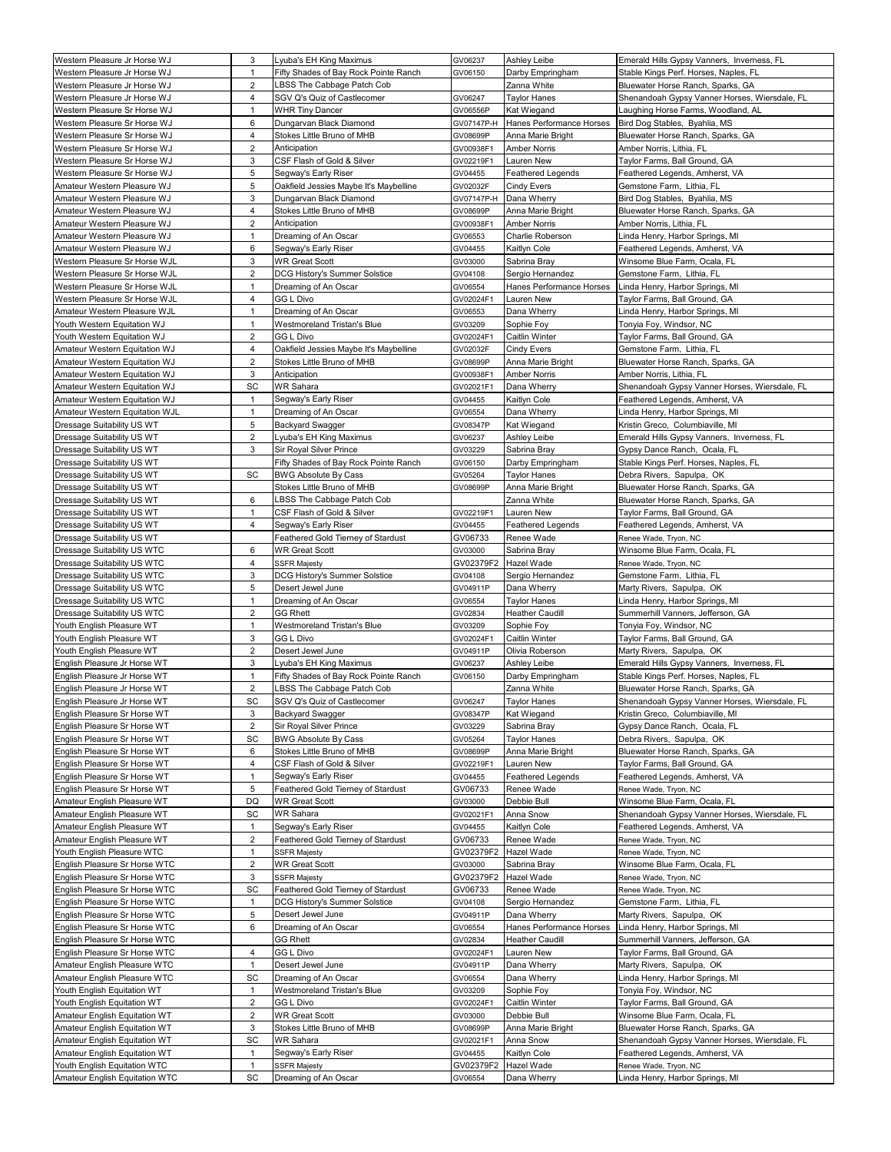|                                                            | 3                       | Lyuba's EH King Maximus                | GV06237    | Ashley Leibe             | Emerald Hills Gypsy Vanners, Inverness, FL                        |
|------------------------------------------------------------|-------------------------|----------------------------------------|------------|--------------------------|-------------------------------------------------------------------|
| Western Pleasure Jr Horse WJ                               | $\mathbf{1}$            | Fifty Shades of Bay Rock Pointe Ranch  | GV06150    | Darby Empringham         | Stable Kings Perf. Horses, Naples, FL                             |
| Western Pleasure Jr Horse WJ                               | 2                       | LBSS The Cabbage Patch Cob             |            | Zanna White              | Bluewater Horse Ranch, Sparks, GA                                 |
| Western Pleasure Jr Horse WJ                               | 4                       | SGV Q's Quiz of Castlecomer            | GV06247    | Taylor Hanes             | Shenandoah Gypsy Vanner Horses, Wiersdale, FL                     |
| Western Pleasure Sr Horse WJ                               | $\mathbf{1}$            | <b>WHR Tiny Dancer</b>                 | GV06556P   | Kat Wiegand              | Laughing Horse Farms, Woodland, AL                                |
| Western Pleasure Sr Horse WJ                               | 6                       | Dungarvan Black Diamond                | GV07147P-H | Hanes Performance Horses | Bird Dog Stables, Byahlia, MS                                     |
| Western Pleasure Sr Horse WJ                               | 4                       | Stokes Little Bruno of MHB             | GV08699P   | Anna Marie Bright        | Bluewater Horse Ranch, Sparks, GA                                 |
| Western Pleasure Sr Horse WJ                               | $\overline{2}$          | Anticipation                           | GV00938F1  | <b>Amber Norris</b>      | Amber Norris, Lithia, FL                                          |
| Western Pleasure Sr Horse WJ                               | 3                       | CSF Flash of Gold & Silver             | GV02219F1  | Lauren New               | Taylor Farms, Ball Ground, GA                                     |
| Western Pleasure Sr Horse WJ                               | $\sqrt{5}$              | Segway's Early Riser                   | GV04455    | Feathered Legends        | Feathered Legends, Amherst, VA                                    |
| Amateur Western Pleasure WJ                                | 5                       | Oakfield Jessies Maybe It's Maybelline | GV02032F   | Cindy Evers              | Gemstone Farm, Lithia, FL                                         |
| Amateur Western Pleasure WJ                                | 3                       | Dungarvan Black Diamond                | GV07147P-H | Dana Wherry              | Bird Dog Stables, Byahlia, MS                                     |
| Amateur Western Pleasure WJ                                | 4                       | Stokes Little Bruno of MHB             | GV08699P   | Anna Marie Bright        | Bluewater Horse Ranch, Sparks, GA                                 |
| Amateur Western Pleasure WJ                                | $\overline{2}$          | Anticipation                           | GV00938F1  | <b>Amber Norris</b>      | Amber Norris, Lithia, FL                                          |
| Amateur Western Pleasure WJ                                | 1                       | Dreaming of An Oscar                   | GV06553    | Charlie Roberson         |                                                                   |
| Amateur Western Pleasure WJ                                | 6                       | Segway's Early Riser                   | GV04455    | Kaitlyn Cole             | Linda Henry, Harbor Springs, MI<br>Feathered Legends, Amherst, VA |
|                                                            |                         |                                        |            |                          |                                                                   |
| Western Pleasure Sr Horse WJL                              | 3                       | <b>WR Great Scott</b>                  | GV03000    | Sabrina Bray             | Winsome Blue Farm, Ocala, FL                                      |
| Western Pleasure Sr Horse WJL                              | $\overline{2}$          | DCG History's Summer Solstice          | GV04108    | Sergio Hernandez         | Gemstone Farm, Lithia, FL                                         |
| Western Pleasure Sr Horse WJL                              | $\mathbf{1}$            | Dreaming of An Oscar                   | GV06554    | Hanes Performance Horses | Linda Henry, Harbor Springs, MI                                   |
| Western Pleasure Sr Horse WJL                              | $\overline{4}$          | GG L Divo                              | GV02024F1  | Lauren New               | Taylor Farms, Ball Ground, GA                                     |
| Amateur Western Pleasure WJL                               | $\mathbf{1}$            | Dreaming of An Oscar                   | GV06553    | Dana Wherry              | Linda Henry, Harbor Springs, MI                                   |
| Youth Western Equitation WJ                                | 1                       | Westmoreland Tristan's Blue            | GV03209    | Sophie Foy               | Tonyia Foy, Windsor, NC                                           |
| Youth Western Equitation WJ                                | 2                       | <b>GG L Divo</b>                       | GV02024F1  | Caitlin Winter           | Taylor Farms, Ball Ground, GA                                     |
| Amateur Western Equitation WJ                              | 4                       | Oakfield Jessies Maybe It's Maybelline | GV02032F   | Cindy Evers              | Gemstone Farm, Lithia, FL                                         |
| Amateur Western Equitation WJ                              | $\overline{2}$          | Stokes Little Bruno of MHB             | GV08699P   | Anna Marie Bright        | Bluewater Horse Ranch, Sparks, GA                                 |
| Amateur Western Equitation WJ                              | 3                       | Anticipation                           | GV00938F1  | <b>Amber Norris</b>      | Amber Norris, Lithia, FL                                          |
| Amateur Western Equitation WJ                              | SC                      | <b>WR Sahara</b>                       | GV02021F1  | Dana Wherry              | Shenandoah Gypsy Vanner Horses, Wiersdale, FL                     |
| Amateur Western Equitation WJ                              | $\mathbf{1}$            | Segway's Early Riser                   | GV04455    | Kaitlyn Cole             | Feathered Legends, Amherst, VA                                    |
| Amateur Western Equitation WJL                             | $\overline{1}$          | Dreaming of An Oscar                   | GV06554    | Dana Wherry              | Linda Henry, Harbor Springs, MI                                   |
| Dressage Suitability US WT                                 | 5                       | <b>Backyard Swagger</b>                | GV08347P   | Kat Wiegand              | Kristin Greco, Columbiaville, MI                                  |
| Dressage Suitability US WT                                 | 2                       | yuba's EH King Maximus_                | GV06237    | Ashley Leibe             | Emerald Hills Gypsy Vanners, Inverness, FL                        |
| Dressage Suitability US WT                                 | 3                       | Sir Royal Silver Prince                | GV03229    | Sabrina Bray             | Gypsy Dance Ranch, Ocala, FL                                      |
| Dressage Suitability US WT                                 |                         | Fifty Shades of Bay Rock Pointe Ranch  | GV06150    | Darby Empringham         | Stable Kings Perf. Horses, Naples, FL                             |
| Dressage Suitability US WT                                 | SC                      | <b>BWG Absolute By Cass</b>            | GV05264    | <b>Taylor Hanes</b>      | Debra Rivers, Sapulpa, OK                                         |
| Dressage Suitability US WT                                 |                         | Stokes Little Bruno of MHB             | GV08699P   | Anna Marie Bright        | Bluewater Horse Ranch, Sparks, GA                                 |
| Dressage Suitability US WT                                 | 6                       | LBSS The Cabbage Patch Cob             |            | Zanna White              | Bluewater Horse Ranch, Sparks, GA                                 |
| Dressage Suitability US WT                                 | $\mathbf{1}$            | CSF Flash of Gold & Silver             | GV02219F1  | Lauren New               | Taylor Farms, Ball Ground, GA                                     |
| Dressage Suitability US WT                                 | 4                       | Segway's Early Riser                   | GV04455    | Feathered Legends        | Feathered Legends, Amherst, VA                                    |
| Dressage Suitability US WT                                 |                         | Feathered Gold Tierney of Stardust     | GV06733    | Renee Wade               | Renee Wade, Tryon, NC                                             |
| Dressage Suitability US WTC                                | 6                       | <b>WR Great Scott</b>                  | GV03000    | Sabrina Bray             | Winsome Blue Farm, Ocala, FL                                      |
| Dressage Suitability US WTC                                | 4                       | <b>SSFR Majesty</b>                    | GV02379F2  | Hazel Wade               | Renee Wade, Tryon, NC                                             |
|                                                            | 3                       |                                        |            |                          | Gemstone Farm, Lithia, FL                                         |
| Dressage Suitability US WTC                                |                         | DCG History's Summer Solstice          | GV04108    | Sergio Hernandez         |                                                                   |
| Dressage Suitability US WTC                                | 5                       | Desert Jewel June                      | GV04911P   | Dana Wherry              | Marty Rivers, Sapulpa, OK                                         |
| Dressage Suitability US WTC<br>Dressage Suitability US WTC | $\mathbf{1}$            | Dreaming of An Oscar                   | GV06554    | <b>Taylor Hanes</b>      | Linda Henry, Harbor Springs, MI                                   |
|                                                            | 2                       | <b>GG Rhett</b>                        | GV02834    | <b>Heather Caudill</b>   |                                                                   |
|                                                            |                         |                                        |            |                          | Summerhill Vanners, Jefferson, GA                                 |
| Youth English Pleasure WT                                  | $\mathbf{1}$            | Westmoreland Tristan's Blue            | GV03209    | Sophie Foy               | Tonyia Foy, Windsor, NC                                           |
| Youth English Pleasure WT                                  | 3                       | <b>GG L Divo</b>                       | GV02024F1  | Caitlin Winter           | Taylor Farms, Ball Ground, GA                                     |
| Youth English Pleasure WT                                  | $\overline{2}$          | Desert Jewel June                      | GV04911P   | Olivia Roberson          | Marty Rivers, Sapulpa, OK                                         |
| English Pleasure Jr Horse WT                               | 3                       | yuba's EH King Maximus_                | GV06237    | Ashley Leibe             | Emerald Hills Gypsy Vanners, Inverness, FL                        |
| English Pleasure Jr Horse WT                               | $\mathbf{1}$            | Fifty Shades of Bay Rock Pointe Ranch  | GV06150    | Darby Empringham         | Stable Kings Perf. Horses, Naples, FL                             |
| English Pleasure Jr Horse WT                               | $\overline{2}$          | LBSS The Cabbage Patch Cob             |            | Zanna White              | Bluewater Horse Ranch, Sparks, GA                                 |
| English Pleasure Jr Horse WT                               | SC                      | SGV Q's Quiz of Castlecomer            | GV06247    | <b>Taylor Hanes</b>      | Shenandoah Gypsy Vanner Horses, Wiersdale, FL                     |
| English Pleasure Sr Horse WT                               | 3                       | <b>Backyard Swagger</b>                | GV08347P   | Kat Wiegand              | Kristin Greco, Columbiaville, MI                                  |
| English Pleasure Sr Horse WT                               | 2                       | Sir Royal Silver Prince                | GV03229    | Sabrina Bray             | Gypsy Dance Ranch, Ocala, FL                                      |
| English Pleasure Sr Horse WT                               | SC                      | <b>BWG Absolute By Cass</b>            | GV05264    | <b>Taylor Hanes</b>      | Debra Rivers, Sapulpa, OK                                         |
| English Pleasure Sr Horse WT                               | 6                       | Stokes Little Bruno of MHB             | GV08699P   | Anna Marie Bright        | Bluewater Horse Ranch, Sparks, GA                                 |
| English Pleasure Sr Horse WT                               | 4                       | CSF Flash of Gold & Silver             | GV02219F1  | Lauren New               | Taylor Farms, Ball Ground, GA                                     |
| English Pleasure Sr Horse WT                               | $\mathbf{1}$            | Segway's Early Riser                   | GV04455    | Feathered Legends        | Feathered Legends, Amherst, VA                                    |
| English Pleasure Sr Horse WT                               | 5                       | Feathered Gold Tierney of Stardust     | GV06733    | Renee Wade               | Renee Wade, Tryon, NC                                             |
| Amateur English Pleasure WT                                | DQ                      | <b>WR Great Scott</b>                  | GV03000    | Debbie Bull              | Winsome Blue Farm, Ocala, FL                                      |
|                                                            |                         |                                        |            |                          |                                                                   |
| Amateur English Pleasure WT                                | SC                      | <b>WR Sahara</b>                       | GV02021F1  | Anna Snow                | Shenandoah Gypsy Vanner Horses, Wiersdale, FL                     |
| Amateur English Pleasure WT                                | $\mathbf{1}$            | Segway's Early Riser                   | GV04455    | Kaitlyn Cole             | Feathered Legends, Amherst, VA                                    |
| Amateur English Pleasure WT                                | $\overline{2}$          | Feathered Gold Tierney of Stardust     | GV06733    | Renee Wade               | Renee Wade, Tryon, NC                                             |
| Youth English Pleasure WTC                                 | $\mathbf{1}$            | <b>SSFR Majesty</b>                    | GV02379F2  | Hazel Wade               | Renee Wade, Tryon, NC                                             |
| English Pleasure Sr Horse WTC                              | $\overline{\mathbf{c}}$ | <b>WR Great Scott</b>                  | GV03000    | Sabrina Bray             | Winsome Blue Farm, Ocala, FL                                      |
| English Pleasure Sr Horse WTC                              | 3                       | <b>SSFR Majesty</b>                    | GV02379F2  | Hazel Wade               | Renee Wade, Tryon, NC                                             |
| English Pleasure Sr Horse WTC                              | SC                      | Feathered Gold Tierney of Stardust     | GV06733    | Renee Wade               | Renee Wade, Tryon, NC                                             |
| English Pleasure Sr Horse WTC                              | $\mathbf{1}$            | DCG History's Summer Solstice          | GV04108    | Sergio Hernandez         | Gemstone Farm, Lithia, FL                                         |
| English Pleasure Sr Horse WTC                              | 5                       | Desert Jewel June                      | GV04911P   | Dana Wherry              | Marty Rivers, Sapulpa, OK                                         |
| English Pleasure Sr Horse WTC                              | 6                       | Dreaming of An Oscar                   | GV06554    | Hanes Performance Horses | Linda Henry, Harbor Springs, MI                                   |
| English Pleasure Sr Horse WTC                              |                         | <b>GG Rhett</b>                        | GV02834    | Heather Caudill          | Summerhill Vanners, Jefferson, GA                                 |
| English Pleasure Sr Horse WTC                              | 4                       | GG L Divo                              | GV02024F1  | Lauren New               | Taylor Farms, Ball Ground, GA                                     |
| Amateur English Pleasure WTC                               | $\mathbf{1}$            | Desert Jewel June                      | GV04911P   | Dana Wherry              | Marty Rivers, Sapulpa, OK                                         |
| Amateur English Pleasure WTC                               | SC                      | Dreaming of An Oscar                   | GV06554    | Dana Wherry              | Linda Henry, Harbor Springs, MI                                   |
| Youth English Equitation WT                                | $\mathbf{1}$            | Westmoreland Tristan's Blue            | GV03209    | Sophie Foy               | Tonyia Foy, Windsor, NC                                           |
| Youth English Equitation WT                                | $\overline{c}$          | GG L Divo                              | GV02024F1  | Caitlin Winter           | Taylor Farms, Ball Ground, GA                                     |
| Amateur English Equitation WT                              | $\overline{2}$          | <b>WR Great Scott</b>                  | GV03000    | Debbie Bull              | Winsome Blue Farm, Ocala, FL                                      |
| Amateur English Equitation WT                              | 3                       | Stokes Little Bruno of MHB             | GV08699P   | Anna Marie Bright        | Bluewater Horse Ranch, Sparks, GA                                 |
| Amateur English Equitation WT                              | SC                      | <b>WR Sahara</b>                       | GV02021F1  | Anna Snow                | Shenandoah Gypsy Vanner Horses, Wiersdale, FL                     |
| Amateur English Equitation WT                              | $\mathbf{1}$            | Segway's Early Riser                   | GV04455    | Kaitlyn Cole             | Feathered Legends, Amherst, VA                                    |
| Youth English Equitation WTC                               | $\overline{1}$          | <b>SSFR Majesty</b>                    | GV02379F2  | Hazel Wade               | Renee Wade, Tryon, NC                                             |